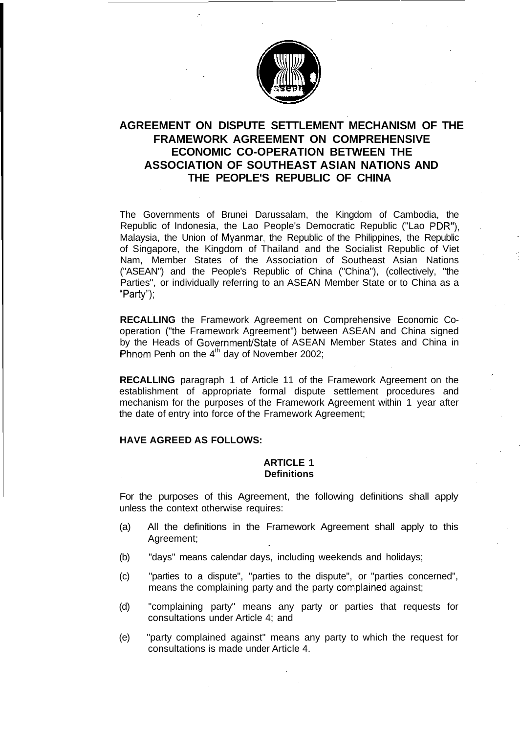

# **AGREEMENT ON DISPUTE SETTLEMENT MECHANISM OF THE FRAMEWORK AGREEMENT ON COMPREHENSIVE ECONOMIC CO-OPERATION BETWEEN THE ASSOCIATION OF SOUTHEAST ASIAN NATIONS AND THE PEOPLE'S REPUBLIC OF CHINA**

The Governments of Brunei Darussalam, the Kingdom of Cambodia, the Republic of Indonesia, the Lao People's Democratic Republic ("Lao PDR"), Malaysia, the Union of Myanmar, the Republic of the Philippines, the Republic of Singapore, the Kingdom of Thailand and the Socialist Republic of Viet Nam, Member States of the Association of Southeast Asian Nations ("ASEAN") and the People's Republic of China ("China"), (collectively, "the Parties", or individually referring to an ASEAN Member State or to China as a "Party");

**RECALLING** the Framework Agreement on Comprehensive Economic Cooperation ("the Framework Agreement") between ASEAN and China signed by the Heads of Government/State of ASEAN Member States and China in Phnom Penh on the  $4<sup>th</sup>$  day of November 2002;

**RECALLING** paragraph 1 of Article 11 of the Framework Agreement on the establishment of appropriate formal dispute settlement procedures and mechanism for the purposes of the Framework Agreement within 1 year after the date of entry into force of the Framework Agreement;

#### **HAVE AGREED AS FOLLOWS:**

### **ARTICLE 1 Definitions**

For the purposes of this Agreement, the following definitions shall apply unless the context otherwise requires:

- (a) All the definitions in the Framework Agreement shall apply to this Agreement;
- (b) "days" means calendar days, including weekends and holidays;
- (c) "parties to a dispute", "parties to the dispute", or "parties concerned", means the complaining party and the party complained against;
- (d) "complaining party" means any party or parties that requests for consultations under Article 4; and
- (e) "party complained against" means any party to which the request for consultations is made under Article 4.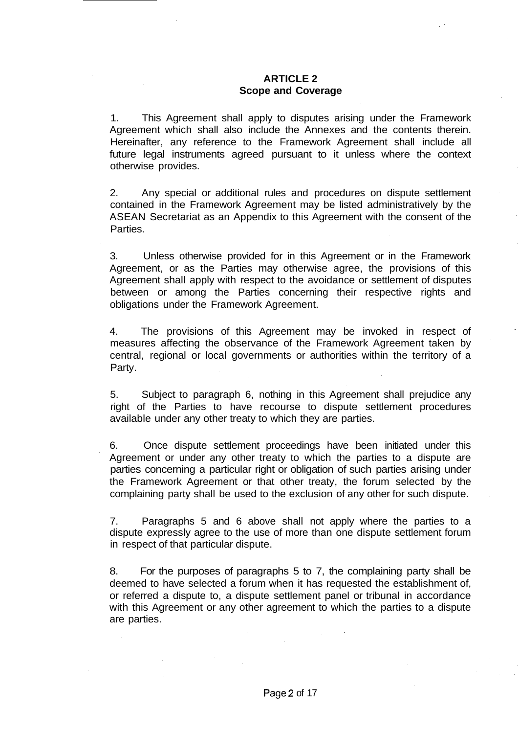### **ARTICLE 2 Scope and Coverage**

1. This Agreement shall apply to disputes arising under the Framework Agreement which shall also include the Annexes and the contents therein. Hereinafter, any reference to the Framework Agreement shall include all future legal instruments agreed pursuant to it unless where the context otherwise provides.

2. Any special or additional rules and procedures on dispute settlement contained in the Framework Agreement may be listed administratively by the ASEAN Secretariat as an Appendix to this Agreement with the consent of the Parties.

3. Unless otherwise provided for in this Agreement or in the Framework Agreement, or as the Parties may otherwise agree, the provisions of this Agreement shall apply with respect to the avoidance or settlement of disputes between or among the Parties concerning their respective rights and obligations under the Framework Agreement.

4. The provisions of this Agreement may be invoked in respect of measures affecting the observance of the Framework Agreement taken by central, regional or local governments or authorities within the territory of a Party.

5. Subject to paragraph 6, nothing in this Agreement shall prejudice any right of the Parties to have recourse to dispute settlement procedures available under any other treaty to which they are parties.

6. Once dispute settlement proceedings have been initiated under this Agreement or under any other treaty to which the parties to a dispute are parties concerning a particular right or obligation of such parties arising under the Framework Agreement or that other treaty, the forum selected by the complaining party shall be used to the exclusion of any other for such dispute.

7. Paragraphs 5 and 6 above shall not apply where the parties to a dispute expressly agree to the use of more than one dispute settlement forum in respect of that particular dispute.

8. For the purposes of paragraphs 5 to 7, the complaining party shall be deemed to have selected a forum when it has requested the establishment of, or referred a dispute to, a dispute settlement panel or tribunal in accordance with this Agreement or any other agreement to which the parties to a dispute are parties.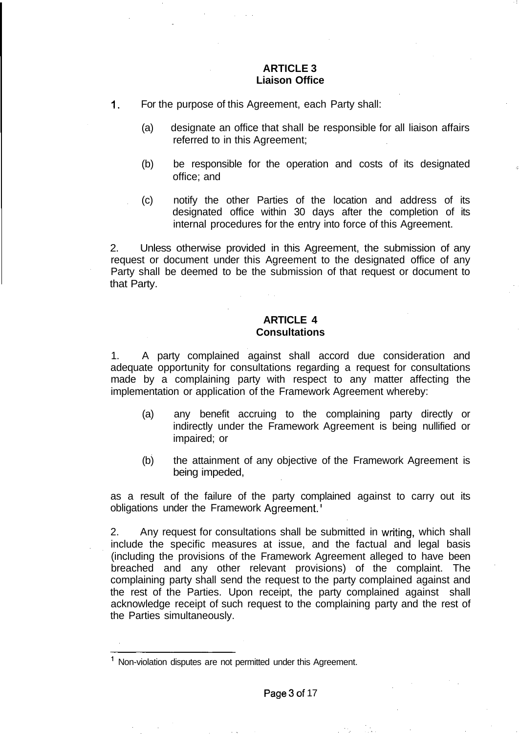# **ARTICLE 3 Liaison Office**

- 1. For the purpose of this Agreement, each Party shall:
	- (a) designate an office that shall be responsible for all liaison affairs referred to in this Agreement;
	- (b) be responsible for the operation and costs of its designated office; and
	- (c) notify the other Parties of the location and address of its designated office within 30 days after the completion of its internal procedures for the entry into force of this Agreement.

2. Unless otherwise provided in this Agreement, the submission of any request or document under this Agreement to the designated office of any Party shall be deemed to be the submission of that request or document to that Party.

# **ARTICLE 4 Consultations**

1. A party complained against shall accord due consideration and adequate opportunity for consultations regarding a request for consultations made by a complaining party with respect to any matter affecting the implementation or application of the Framework Agreement whereby:

- (a) any benefit accruing to the complaining party directly or indirectly under the Framework Agreement is being nullified or impaired; or
- (b) the attainment of any objective of the Framework Agreement is being impeded,

as a result of the failure of the party complained against to carry out its obligations under the Framework Agreement.

2. Any request for consultations shall be submitted in writing, which shall include the specific measures at issue, and the factual and legal basis (including the provisions of the Framework Agreement alleged to have been breached and any other relevant provisions) of the complaint. The complaining party shall send the request to the party complained against and the rest of the Parties. Upon receipt, the party complained against shall acknowledge receipt of such request to the complaining party and the rest of the Parties simultaneously.

<sup>&</sup>lt;sup>1</sup> Non-violation disputes are not permitted under this Agreement.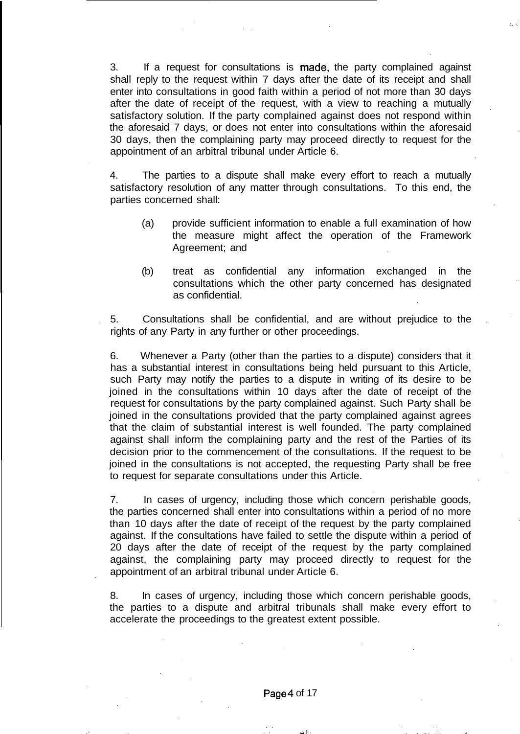3. If a request for consultations is made, the party complained against shall reply to the request within 7 days after the date of its receipt and shall enter into consultations in good faith within a period of not more than 30 days after the date of receipt of the request, with a view to reaching a mutually satisfactory solution. If the party complained against does not respond within the aforesaid 7 days, or does not enter into consultations within the aforesaid 30 days, then the complaining party may proceed directly to request for the appointment of an arbitral tribunal under Article 6.

4. The parties to a dispute shall make every effort to reach a mutually satisfactory resolution of any matter through consultations. To this end, the parties concerned shall:

- (a) provide sufficient information to enable a full examination of how the measure might affect the operation of the Framework Agreement; and
- (b) treat as confidential any information exchanged in the consultations which the other party concerned has designated as confidential.

5. Consultations shall be confidential, and are without prejudice to the rights of any Party in any further or other proceedings.

6. Whenever a Party (other than the parties to a dispute) considers that it has a substantial interest in consultations being held pursuant to this Article, such Party may notify the parties to a dispute in writing of its desire to be joined in the consultations within 10 days after the date of receipt of the request for consultations by the party complained against. Such Party shall be joined in the consultations provided that the party complained against agrees that the claim of substantial interest is well founded. The party complained against shall inform the complaining party and the rest of the Parties of its decision prior to the commencement of the consultations. If the request to be joined in the consultations is not accepted, the requesting Party shall be free to request for separate consultations under this Article.

7. In cases of urgency, including those which concern perishable goods, the parties concerned shall enter into consultations within a period of no more than 10 days after the date of receipt of the request by the party complained against. If the consultations have failed to settle the dispute within a period of 20 days after the date of receipt of the request by the party complained against, the complaining party may proceed directly to request for the appointment of an arbitral tribunal under Article 6.

8. In cases of urgency, including those which concern perishable goods, the parties to a dispute and arbitral tribunals shall make every effort to accelerate the proceedings to the greatest extent possible.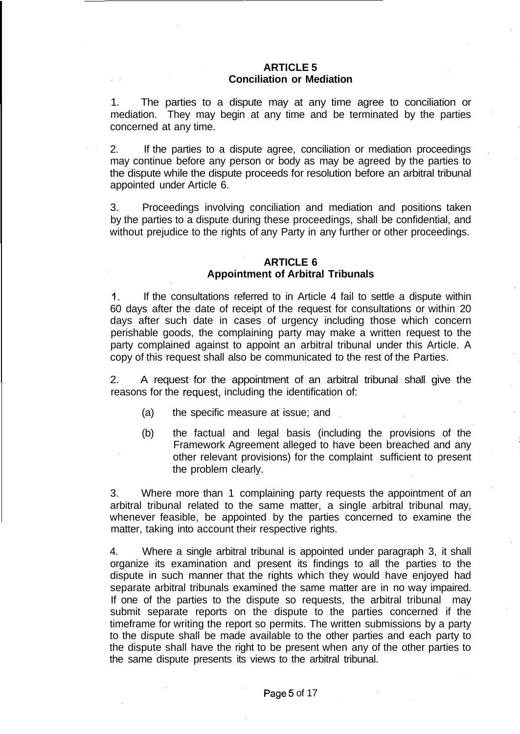## **ARTICLE 5 Conciliation or Mediation**

1. The parties to a dispute may at any time agree to conciliation or mediation. They may begin at any time and be terminated by the parties concerned at any time.

2. If the parties to a dispute agree, conciliation or mediation proceedings may continue before any person or body as may be agreed by the parties to the dispute while the dispute proceeds for resolution before an arbitral tribunal appointed under Article 6.

3. Proceedings involving conciliation and mediation and positions taken by the parties to a dispute during these proceedings, shall be confidential, and without prejudice to the rights of any Party in any further or other proceedings.

# **ARTICLE 6 Appointment of Arbitral Tribunals**

1. If the consultations referred to in Article 4 fail to settle a dispute within 60 days after the date of receipt of the request for consultations or within 20 days after such date in cases of urgency including those which concern perishable goods, the complaining party may make a written request to the party complained against to appoint an arbitral tribunal under this Article. A copy of this request shall also be communicated to the rest of the Parties.

2. A request for the appointment of an arbitral tribunal shall give the reasons for the request, including the identification of:

- (a) the specific measure at issue; and
- (b) the factual and legal basis (including the provisions of the Framework Agreement alleged to have been breached and any other relevant provisions) for the complaint sufficient to present the problem clearly.

3. Where more than 1 complaining party requests the appointment of an arbitral tribunal related to the same matter, a single arbitral tribunal may, whenever feasible, be appointed by the parties concerned to examine the matter, taking into account their respective rights.

4. Where a single arbitral tribunal is appointed under paragraph 3, it shall organize its examination and present its findings to all the parties to the dispute in such manner that the rights which they would have enjoyed had separate arbitral tribunals examined the same matter are in no way impaired. If one of the parties to the dispute so requests, the arbitral tribunal may submit separate reports on the dispute to the parties concerned if the timeframe for writing the report so permits. The written submissions by a party to the dispute shall be made available to the other parties and each party to the dispute shall have the right to be present when any of the other parties to the same dispute presents its views to the arbitral tribunal.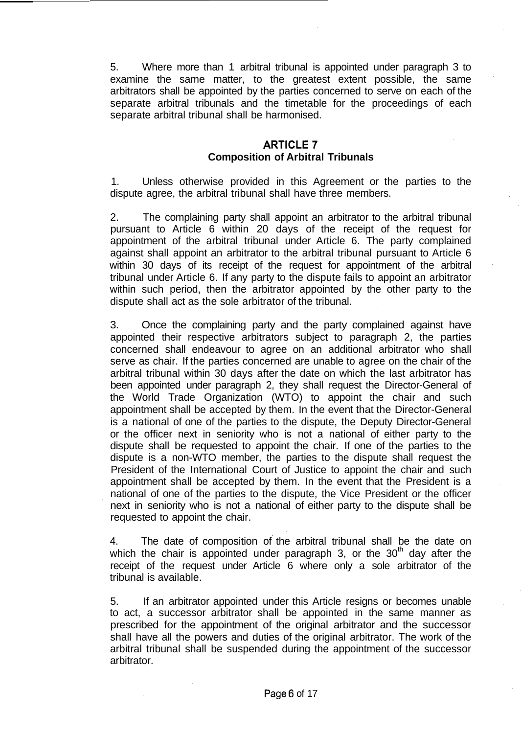5. Where more than 1 arbitral tribunal is appointed under paragraph 3 to examine the same matter, to the greatest extent possible, the same arbitrators shall be appointed by the parties concerned to serve on each of the separate arbitral tribunals and the timetable for the proceedings of each separate arbitral tribunal shall be harmonised.

# **ARTICLE? Composition of Arbitral Tribunals**

1. Unless otherwise provided in this Agreement or the parties to the dispute agree, the arbitral tribunal shall have three members.

2. The complaining party shall appoint an arbitrator to the arbitral tribunal pursuant to Article 6 within 20 days of the receipt of the request for appointment of the arbitral tribunal under Article 6. The party complained against shall appoint an arbitrator to the arbitral tribunal pursuant to Article 6 within 30 days of its receipt of the request for appointment of the arbitral tribunal under Article 6. If any party to the dispute fails to appoint an arbitrator within such period, then the arbitrator appointed by the other party to the dispute shall act as the sole arbitrator of the tribunal.

3. Once the complaining party and the party complained against have appointed their respective arbitrators subject to paragraph 2, the parties concerned shall endeavour to agree on an additional arbitrator who shall serve as chair. If the parties concerned are unable to agree on the chair of the arbitral tribunal within 30 days after the date on which the last arbitrator has been appointed under paragraph 2, they shall request the Director-General of the World Trade Organization (WTO) to appoint the chair and such appointment shall be accepted by them. In the event that the Director-General is a national of one of the parties to the dispute, the Deputy Director-General or the officer next in seniority who is not a national of either party to the dispute shall be requested to appoint the chair. If one of the parties to the dispute is a non-WTO member, the parties to the dispute shall request the President of the International Court of Justice to appoint the chair and such appointment shall be accepted by them. In the event that the President is a national of one of the parties to the dispute, the Vice President or the officer next in seniority who is not a national of either party to the dispute shall be requested to appoint the chair.

4. The date of composition of the arbitral tribunal shall be the date on which the chair is appointed under paragraph 3, or the  $30<sup>th</sup>$  day after the receipt of the request under Article 6 where only a sole arbitrator of the tribunal is available.

5. If an arbitrator appointed under this Article resigns or becomes unable to act, a successor arbitrator shall be appointed in the same manner as prescribed for the appointment of the original arbitrator and the successor shall have all the powers and duties of the original arbitrator. The work of the arbitral tribunal shall be suspended during the appointment of the successor arbitrator.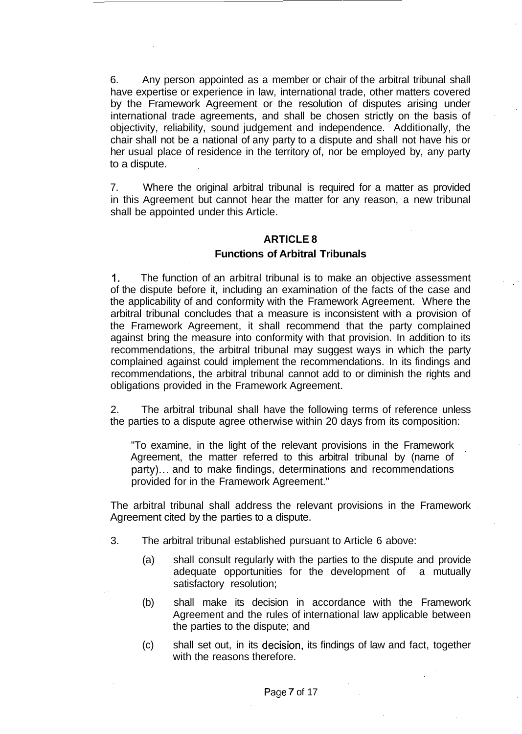6. Any person appointed as a member or chair of the arbitral tribunal shall have expertise or experience in law, international trade, other matters covered by the Framework Agreement or the resolution of disputes arising under international trade agreements, and shall be chosen strictly on the basis of objectivity, reliability, sound judgement and independence. Additionally, the chair shall not be a national of any party to a dispute and shall not have his or her usual place of residence in the territory of, nor be employed by, any party to a dispute.

7. Where the original arbitral tribunal is required for a matter as provided in this Agreement but cannot hear the matter for any reason, a new tribunal shall be appointed under this Article.

# **ARTICLE 8 Functions of Arbitral Tribunals**

1. The function of an arbitral tribunal is to make an objective assessment of the dispute before it, including an examination of the facts of the case and the applicability of and conformity with the Framework Agreement. Where the arbitral tribunal concludes that a measure is inconsistent with a provision of the Framework Agreement, it shall recommend that the party complained against bring the measure into conformity with that provision. In addition to its recommendations, the arbitral tribunal may suggest ways in which the party complained against could implement the recommendations. In its findings and recommendations, the arbitral tribunal cannot add to or diminish the rights and obligations provided in the Framework Agreement.

2. The arbitral tribunal shall have the following terms of reference unless the parties to a dispute agree otherwise within 20 days from its composition:

"To examine, in the light of the relevant provisions in the Framework Agreement, the matter referred to this arbitral tribunal by (name of party)... and to make findings, determinations and recommendations provided for in the Framework Agreement."

The arbitral tribunal shall address the relevant provisions in the Framework Agreement cited by the parties to a dispute.

- 3. The arbitral tribunal established pursuant to Article 6 above:
	- (a) shall consult regularly with the parties to the dispute and provide adequate opportunities for the development of a mutually satisfactory resolution;
	- (b) shall make its decision in accordance with the Framework Agreement and the rules of international law applicable between the parties to the dispute; and
	- (c) shall set out, in its decision, its findings of law and fact, together with the reasons therefore.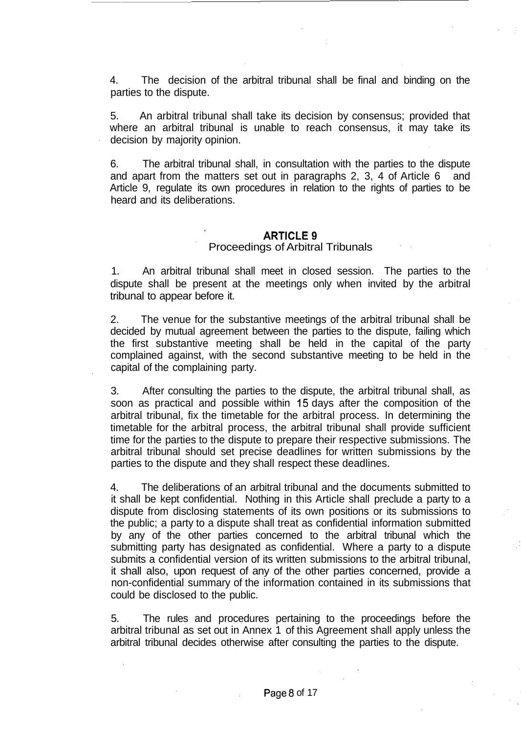4. The decision of the arbitral tribunal shall be final and binding on the parties to the dispute.

5. An arbitral tribunal shall take its decision by consensus; provided that where an arbitral tribunal is unable to reach consensus, it may take its decision by majority opinion.

6. The arbitral tribunal shall, in consultation with the parties to the dispute and apart from the matters set out in paragraphs 2, 3, 4 of Article 6 and Article 9, regulate its own procedures in relation to the rights of parties to be heard and its deliberations.

# **ARTICLE 9** Proceedings of Arbitral Tribunals

1. An arbitral tribunal shall meet in closed session. The parties to the dispute shall be present at the meetings only when invited by the arbitral tribunal to appear before it.

2. The venue for the substantive meetings of the arbitral tribunal shall be decided by mutual agreement between the parties to the dispute, failing which the first substantive meeting shall be held in the capital of the party complained against, with the second substantive meeting to be held in the capital of the complaining party.

3. After consulting the parties to the dispute, the arbitral tribunal shall, as soon as practical and possible within 15 days after the composition of the arbitral tribunal, fix the timetable for the arbitral process. In determining the timetable for the arbitral process, the arbitral tribunal shall provide sufficient time for the parties to the dispute to prepare their respective submissions. The arbitral tribunal should set precise deadlines for written submissions by the parties to the dispute and they shall respect these deadlines.

4. The deliberations of an arbitral tribunal and the documents submitted to it shall be kept confidential. Nothing in this Article shall preclude a party to a dispute from disclosing statements of its own positions or its submissions to the public; a party to a dispute shall treat as confidential information submitted by any of the other parties concerned to the arbitral tribunal which the submitting party has designated as confidential. Where a party to a dispute submits a confidential version of its written submissions to the arbitral tribunal, it shall also, upon request of any of the other parties concerned, provide a non-confidential summary of the information contained in its submissions that could be disclosed to the public.

5. The rules and procedures pertaining to the proceedings before the arbitral tribunal as set out in Annex 1 of this Agreement shall apply unless the arbitral tribunal decides otherwise after consulting the parties to the dispute.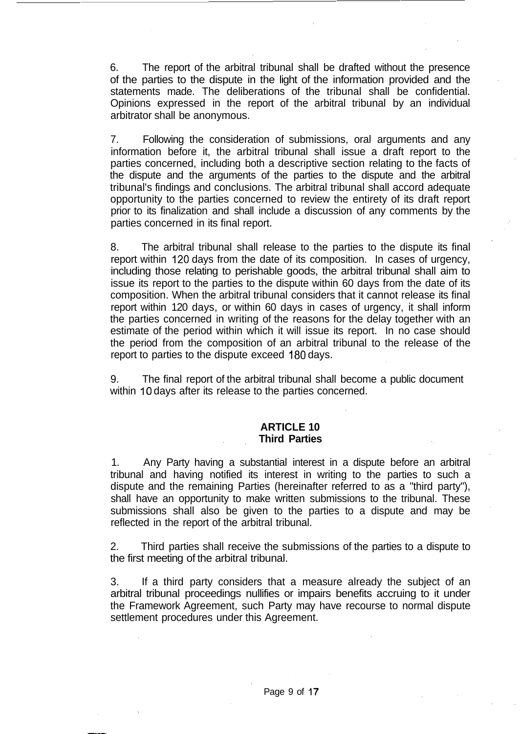6. The report of the arbitral tribunal shall be drafted without the presence of the parties to the dispute in the light of the information provided and the statements made. The deliberations of the tribunal shall be confidential. Opinions expressed in the report of the arbitral tribunal by an individual arbitrator shall be anonymous.

7. Following the consideration of submissions, oral arguments and any information before it, the arbitral tribunal shall issue a draft report to the parties concerned, including both a descriptive section relating to the facts of the dispute and the arguments of the parties to the dispute and the arbitral tribunal's findings and conclusions. The arbitral tribunal shall accord adequate opportunity to the parties concerned to review the entirety of its draft report prior to its finalization and shall include a discussion of any comments by the parties concerned in its final report.

8. The arbitral tribunal shall release to the parties to the dispute its final report within 120 days from the date of its composition. In cases of urgency, including those relating to perishable goods, the arbitral tribunal shall aim to issue its report to the parties to the dispute within 60 days from the date of its composition. When the arbitral tribunal considers that it cannot release its final report within 120 days, or within 60 days in cases of urgency, it shall inform the parties concerned in writing of the reasons for the delay together with an estimate of the period within which it will issue its report. In no case should the period from the composition of an arbitral tribunal to the release of the report to parties to the dispute exceed 180 days.

9. The final report of the arbitral tribunal shall become a public document within 10 days after its release to the parties concerned.

# **ARTICLE 10 Third Parties**

1. Any Party having a substantial interest in a dispute before an arbitral tribunal and having notified its interest in writing to the parties to such a dispute and the remaining Parties (hereinafter referred to as a "third party"), shall have an opportunity to make written submissions to the tribunal. These submissions shall also be given to the parties to a dispute and may be reflected in the report of the arbitral tribunal.

2. Third parties shall receive the submissions of the parties to a dispute to the first meeting of the arbitral tribunal.

3. If a third party considers that a measure already the subject of an arbitral tribunal proceedings nullifies or impairs benefits accruing to it under the Framework Agreement, such Party may have recourse to normal dispute settlement procedures under this Agreement.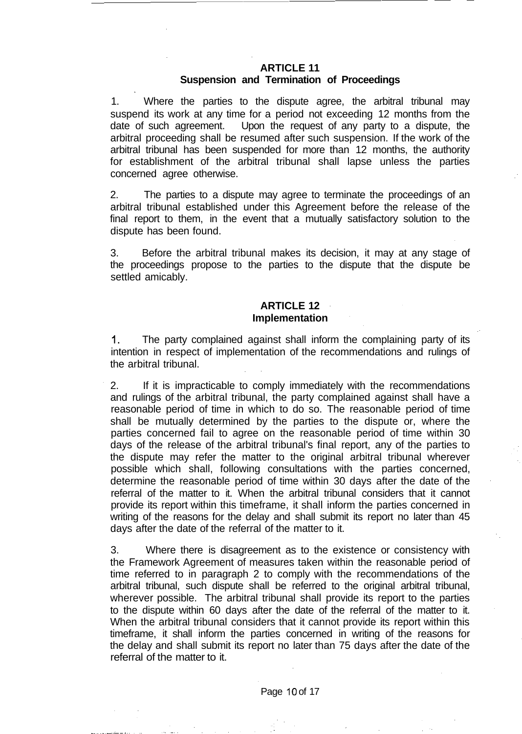# **ARTICLE 11**

# **Suspension and Termination of Proceedings**

1. Where the parties to the dispute agree, the arbitral tribunal may suspend its work at any time for a period not exceeding 12 months from the date of such agreement. Upon the request of any party to a dispute, the arbitral proceeding shall be resumed after such suspension. If the work of the arbitral tribunal has been suspended for more than 12 months, the authority for establishment of the arbitral tribunal shall lapse unless the parties concerned agree otherwise.

2. The parties to a dispute may agree to terminate the proceedings of an arbitral tribunal established under this Agreement before the release of the final report to them, in the event that a mutually satisfactory solution to the dispute has been found.

3. Before the arbitral tribunal makes its decision, it may at any stage of the proceedings propose to the parties to the dispute that the dispute be settled amicably.

## **ARTICLE 12 Implementation**

1. The party complained against shall inform the complaining party of its intention in respect of implementation of the recommendations and rulings of the arbitral tribunal.

2. If it is impracticable to comply immediately with the recommendations and rulings of the arbitral tribunal, the party complained against shall have a reasonable period of time in which to do so. The reasonable period of time shall be mutually determined by the parties to the dispute or, where the parties concerned fail to agree on the reasonable period of time within 30 days of the release of the arbitral tribunal's final report, any of the parties to the dispute may refer the matter to the original arbitral tribunal wherever possible which shall, following consultations with the parties concerned, determine the reasonable period of time within 30 days after the date of the referral of the matter to it. When the arbitral tribunal considers that it cannot provide its report within this timeframe, it shall inform the parties concerned in writing of the reasons for the delay and shall submit its report no later than 45 days after the date of the referral of the matter to it.

3. Where there is disagreement as to the existence or consistency with the Framework Agreement of measures taken within the reasonable period of time referred to in paragraph 2 to comply with the recommendations of the arbitral tribunal, such dispute shall be referred to the original arbitral tribunal, wherever possible. The arbitral tribunal shall provide its report to the parties to the dispute within 60 days after the date of the referral of the matter to it. When the arbitral tribunal considers that it cannot provide its report within this timeframe, it shall inform the parties concerned in writing of the reasons for the delay and shall submit its report no later than 75 days after the date of the referral of the matter to it.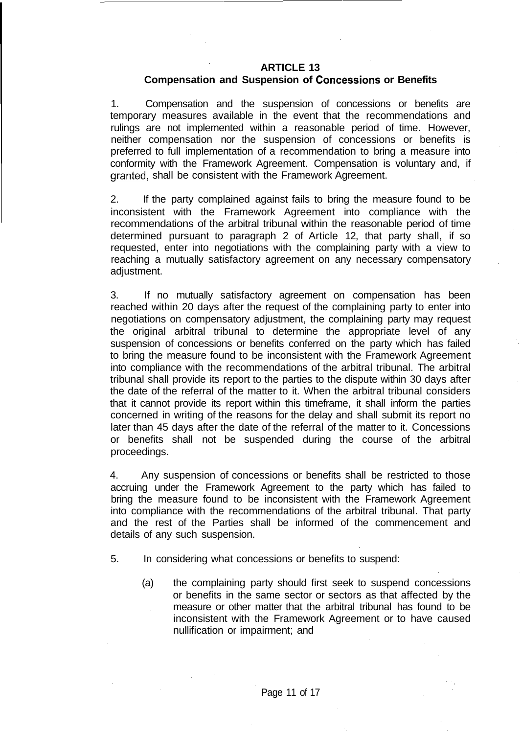## **ARTICLE 13**

## **Compensation and Suspension of Concessions or Benefits**

1. Compensation and the suspension of concessions or benefits are temporary measures available in the event that the recommendations and rulings are not implemented within a reasonable period of time. However, neither compensation nor the suspension of concessions or benefits is preferred to full implementation of a recommendation to bring a measure into conformity with the Framework Agreement. Compensation is voluntary and, if granted, shall be consistent with the Framework Agreement.

2. If the party complained against fails to bring the measure found to be inconsistent with the Framework Agreement into compliance with the recommendations of the arbitral tribunal within the reasonable period of time determined pursuant to paragraph 2 of Article 12, that party shall, if so requested, enter into negotiations with the complaining party with a view to reaching a mutually satisfactory agreement on any necessary compensatory adjustment.

3. If no mutually satisfactory agreement on compensation has been reached within 20 days after the request of the complaining party to enter into negotiations on compensatory adjustment, the complaining party may request the original arbitral tribunal to determine the appropriate level of any suspension of concessions or benefits conferred on the party which has failed to bring the measure found to be inconsistent with the Framework Agreement into compliance with the recommendations of the arbitral tribunal. The arbitral tribunal shall provide its report to the parties to the dispute within 30 days after the date of the referral of the matter to it. When the arbitral tribunal considers that it cannot provide its report within this timeframe, it shall inform the parties concerned in writing of the reasons for the delay and shall submit its report no later than 45 days after the date of the referral of the matter to it. Concessions or benefits shall not be suspended during the course of the arbitral proceedings.

4. Any suspension of concessions or benefits shall be restricted to those accruing under the Framework Agreement to the party which has failed to bring the measure found to be inconsistent with the Framework Agreement into compliance with the recommendations of the arbitral tribunal. That party and the rest of the Parties shall be informed of the commencement and details of any such suspension.

- 5. In considering what concessions or benefits to suspend:
	- (a) the complaining party should first seek to suspend concessions or benefits in the same sector or sectors as that affected by the measure or other matter that the arbitral tribunal has found to be inconsistent with the Framework Agreement or to have caused nullification or impairment; and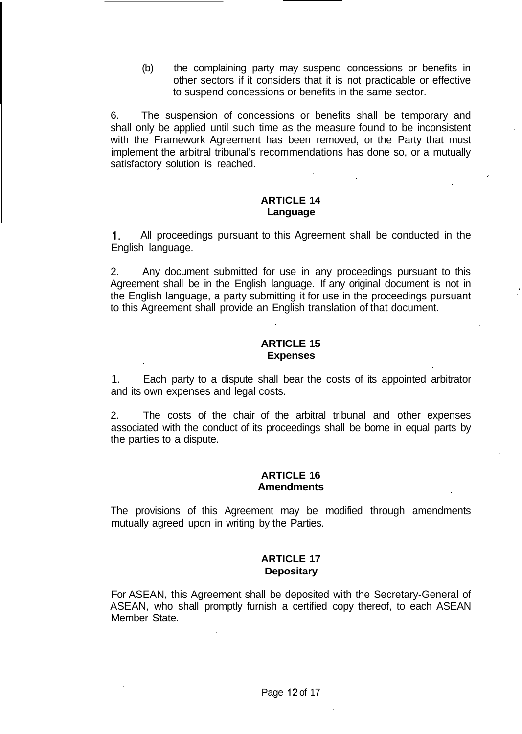(b) the complaining party may suspend concessions or benefits in other sectors if it considers that it is not practicable or effective to suspend concessions or benefits in the same sector.

6. The suspension of concessions or benefits shall be temporary and shall only be applied until such time as the measure found to be inconsistent with the Framework Agreement has been removed, or the Party that must implement the arbitral tribunal's recommendations has done so, or a mutually satisfactory solution is reached.

### **ARTICLE 14 Language**

1. All proceedings pursuant to this Agreement shall be conducted in the English language.

2. Any document submitted for use in any proceedings pursuant to this Agreement shall be in the English language. If any original document is not in the English language, a party submitting it for use in the proceedings pursuant to this Agreement shall provide an English translation of that document.

### **ARTICLE 15 Expenses**

1. Each party to a dispute shall bear the costs of its appointed arbitrator and its own expenses and legal costs.

2. The costs of the chair of the arbitral tribunal and other expenses associated with the conduct of its proceedings shall be borne in equal parts by the parties to a dispute.

#### **ARTICLE 16 Amendments**

The provisions of this Agreement may be modified through amendments mutually agreed upon in writing by the Parties.

## **ARTICLE 17 Depositary**

For ASEAN, this Agreement shall be deposited with the Secretary-General of ASEAN, who shall promptly furnish a certified copy thereof, to each ASEAN Member State.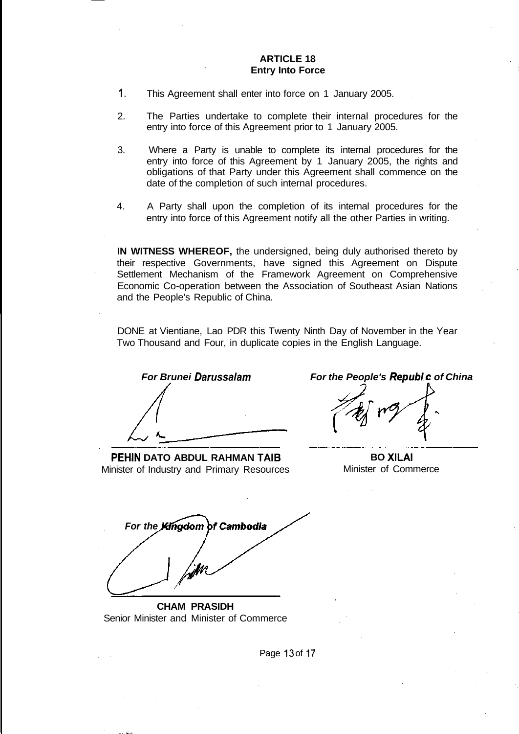### **ARTICLE 18 Entry Into Force**

- 1. This Agreement shall enter into force on 1 January 2005.
- 2. The Parties undertake to complete their internal procedures for the entry into force of this Agreement prior to 1 January 2005.
- 3. Where a Party is unable to complete its internal procedures for the entry into force of this Agreement by 1 January 2005, the rights and obligations of that Party under this Agreement shall commence on the date of the completion of such internal procedures.
- 4. A Party shall upon the completion of its internal procedures for the entry into force of this Agreement notify all the other Parties in writing.

**IN WITNESS WHEREOF,** the undersigned, being duly authorised thereto by their respective Governments, have signed this Agreement on Dispute Settlement Mechanism of the Framework Agreement on Comprehensive Economic Co-operation between the Association of Southeast Asian Nations and the People's Republic of China.

DONE at Vientiane, Lao PDR this Twenty Ninth Day of November in the Year Two Thousand and Four, in duplicate copies in the English Language.

**PEHIN DATO ABDUL RAHMAN TAIB** Minister of Industry and Primary Resources

**For Brunei Darussalam For the People's Republ c of China**

**BO XILAI** Minister of Commerce

**For the Kingdom of Cambodia** 

**CHAM PRASIDH** Senior Minister and Minister of Commerce

Page 13 of 17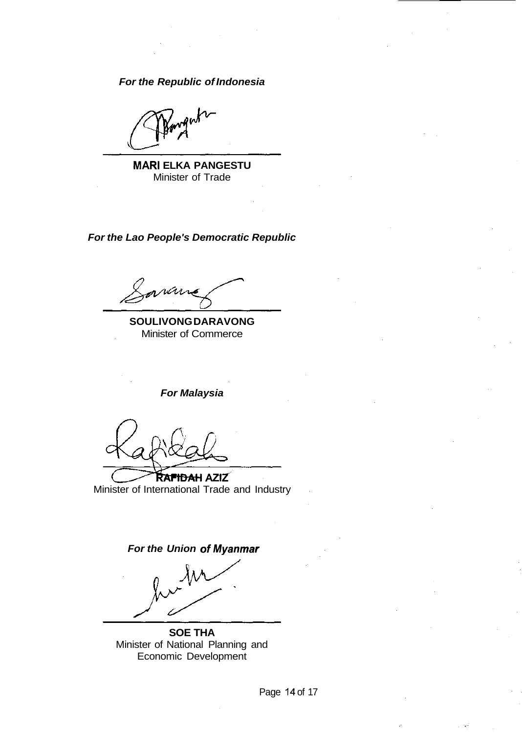**For the Republic of Indonesia**

gute

**MARI ELKA PANGESTU** Minister of Trade

**For the Lao People's Democratic Republic**

**SOULIVONG DARAVONG** Minister of Commerce

**For Malaysia**

Ra<del>fidah</del> aziz Minister of International Trade and Industry

**For the Union of Myanmar** 

**SOE THA** Minister of National Planning and Economic Development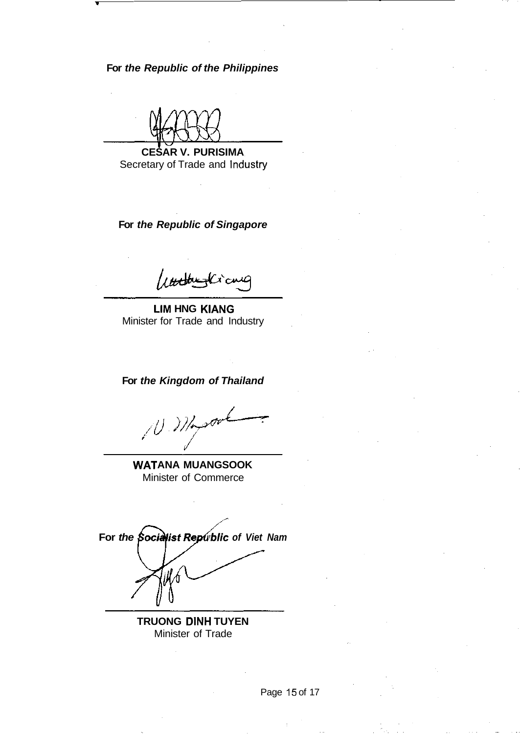**For the Republic of the Philippines**

**CESAR V. PURISIMA** Secretary of Trade and Industry

**For the Republic of Singapore**

utterfamily of

**LIM HNG KIANG** Minister for Trade and Industry

**For the Kingdom of Thailand**

 $10.27$  $\mathscr{I}^{\mathscr{U}^{\mathcal{A}}}$ 

**WATANA MUANGSOOK** Minister of Commerce

For the Socialist Republic of Viet Nam

**TRUONG DINH TUYEN** Minister of Trade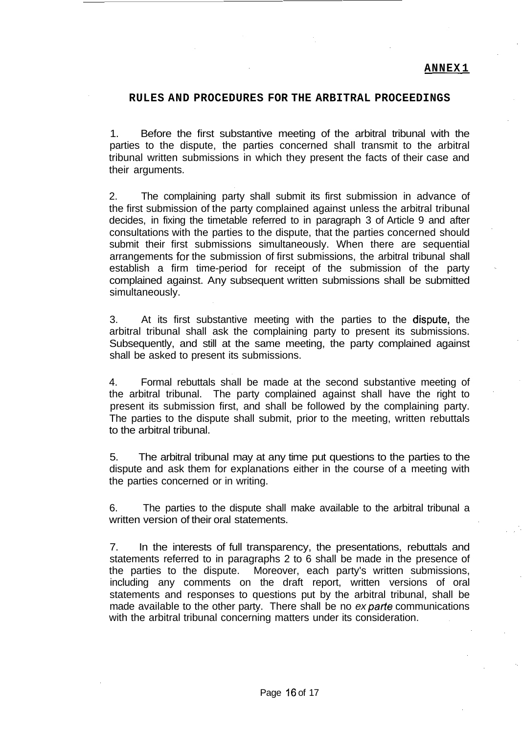### **RULES AND PROCEDURES FOR THE ARBITRAL PROCEEDINGS**

1. Before the first substantive meeting of the arbitral tribunal with the parties to the dispute, the parties concerned shall transmit to the arbitral tribunal written submissions in which they present the facts of their case and their arguments.

2. The complaining party shall submit its first submission in advance of the first submission of the party complained against unless the arbitral tribunal decides, in fixing the timetable referred to in paragraph 3 of Article 9 and after consultations with the parties to the dispute, that the parties concerned should submit their first submissions simultaneously. When there are sequential arrangements for the submission of first submissions, the arbitral tribunal shall establish a firm time-period for receipt of the submission of the party complained against. Any subsequent written submissions shall be submitted simultaneously.

3. At its first substantive meeting with the parties to the dispute, the arbitral tribunal shall ask the complaining party to present its submissions. Subsequently, and still at the same meeting, the party complained against shall be asked to present its submissions.

4. Formal rebuttals shall be made at the second substantive meeting of the arbitral tribunal. The party complained against shall have the right to present its submission first, and shall be followed by the complaining party. The parties to the dispute shall submit, prior to the meeting, written rebuttals to the arbitral tribunal.

5. The arbitral tribunal may at any time put questions to the parties to the dispute and ask them for explanations either in the course of a meeting with the parties concerned or in writing.

6. The parties to the dispute shall make available to the arbitral tribunal a written version of their oral statements.

7. In the interests of full transparency, the presentations, rebuttals and statements referred to in paragraphs 2 to 6 shall be made in the presence of the parties to the dispute. Moreover, each party's written submissions, including any comments on the draft report, written versions of oral statements and responses to questions put by the arbitral tribunal, shall be made available to the other party. There shall be no ex parte communications with the arbitral tribunal concerning matters under its consideration.